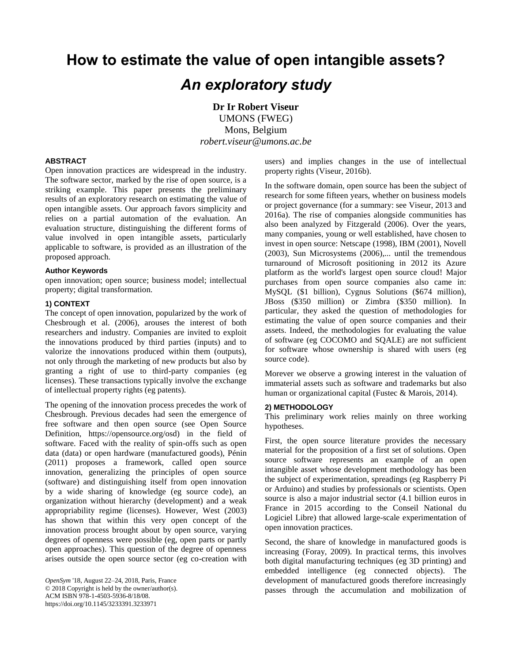# **How to estimate the value of open intangible assets?** *An exploratory study*

**Dr Ir Robert Viseur** UMONS (FWEG) Mons, Belgium *robert.viseur@umons.ac.be*

### **ABSTRACT**

Open innovation practices are widespread in the industry. The software sector, marked by the rise of open source, is a striking example. This paper presents the preliminary results of an exploratory research on estimating the value of open intangible assets. Our approach favors simplicity and relies on a partial automation of the evaluation. An evaluation structure, distinguishing the different forms of value involved in open intangible assets, particularly applicable to software, is provided as an illustration of the proposed approach.

#### **Author Keywords**

open innovation; open source; business model; intellectual property; digital transformation.

# **1) CONTEXT**

The concept of open innovation, popularized by the work of Chesbrough et al. (2006), arouses the interest of both researchers and industry. Companies are invited to exploit the innovations produced by third parties (inputs) and to valorize the innovations produced within them (outputs), not only through the marketing of new products but also by granting a right of use to third-party companies (eg licenses). These transactions typically involve the exchange of intellectual property rights (eg patents).

The opening of the innovation process precedes the work of Chesbrough. Previous decades had seen the emergence of free software and then open source (see Open Source Definition, https://opensource.org/osd) in the field of software. Faced with the reality of spin-offs such as open data (data) or open hardware (manufactured goods), Pénin (2011) proposes a framework, called open source innovation, generalizing the principles of open source (software) and distinguishing itself from open innovation by a wide sharing of knowledge (eg source code), an organization without hierarchy (development) and a weak appropriability regime (licenses). However, West (2003) has shown that within this very open concept of the innovation process brought about by open source, varying degrees of openness were possible (eg, open parts or partly open approaches). This question of the degree of openness arises outside the open source sector (eg co-creation with users) and implies changes in the use of intellectual property rights (Viseur, 2016b).

In the software domain, open source has been the subject of research for some fifteen years, whether on business models or project governance (for a summary: see Viseur, 2013 and 2016a). The rise of companies alongside communities has also been analyzed by Fitzgerald (2006). Over the years, many companies, young or well established, have chosen to invest in open source: Netscape (1998), IBM (2001), Novell (2003), Sun Microsystems (2006),... until the tremendous turnaround of Microsoft positioning in 2012 its Azure platform as the world's largest open source cloud! Major purchases from open source companies also came in: MySQL (\$1 billion), Cygnus Solutions (\$674 million), JBoss (\$350 million) or Zimbra (\$350 million). In particular, they asked the question of methodologies for estimating the value of open source companies and their assets. Indeed, the methodologies for evaluating the value of software (eg COCOMO and SQALE) are not sufficient for software whose ownership is shared with users (eg source code).

Morever we observe a growing interest in the valuation of immaterial assets such as software and trademarks but also human or organizational capital (Fustec & Marois, 2014).

#### **2) METHODOLOGY**

This preliminary work relies mainly on three working hypotheses.

First, the open source literature provides the necessary material for the proposition of a first set of solutions. Open source software represents an example of an open intangible asset whose development methodology has been the subject of experimentation, spreadings (eg Raspberry Pi or Arduino) and studies by professionals or scientists. Open source is also a major industrial sector (4.1 billion euros in France in 2015 according to the Conseil National du Logiciel Libre) that allowed large-scale experimentation of open innovation practices.

Second, the share of knowledge in manufactured goods is increasing (Foray, 2009). In practical terms, this involves both digital manufacturing techniques (eg 3D printing) and embedded intelligence (eg connected objects). The development of manufactured goods therefore increasingly passes through the accumulation and mobilization of

*OpenSym* '18, August 22–24, 2018, Paris, France © 2018 Copyright is held by the owner/author(s). ACM ISBN 978-1-4503-5936-8/18/08. https://doi.org/10.1145/3233391.3233971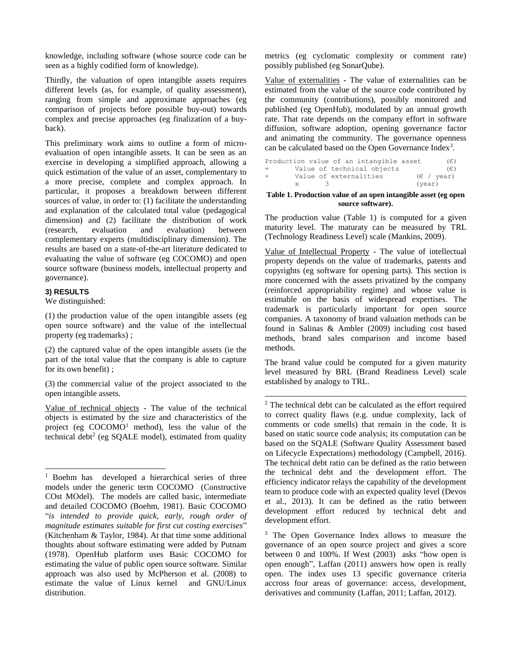knowledge, including software (whose source code can be seen as a highly codified form of knowledge).

Thirdly, the valuation of open intangible assets requires different levels (as, for example, of quality assessment), ranging from simple and approximate approaches (eg comparison of projects before possible buy-out) towards complex and precise approaches (eg finalization of a buyback).

This preliminary work aims to outline a form of microevaluation of open intangible assets. It can be seen as an exercise in developing a simplified approach, allowing a quick estimation of the value of an asset, complementary to a more precise, complete and complex approach. In particular, it proposes a breakdown between different sources of value, in order to: (1) facilitate the understanding and explanation of the calculated total value (pedagogical dimension) and (2) facilitate the distribution of work (research, evaluation and evaluation) between complementary experts (multidisciplinary dimension). The results are based on a state-of-the-art literature dedicated to evaluating the value of software (eg COCOMO) and open source software (business models, intellectual property and governance).

# **3) RESULTS**

l

We distinguished:

(1) the production value of the open intangible assets (eg open source software) and the value of the intellectual property (eg trademarks) ;

(2) the captured value of the open intangible assets (ie the part of the total value that the company is able to capture for its own benefit) ;

(3) the commercial value of the project associated to the open intangible assets.

Value of technical objects - The value of the technical objects is estimated by the size and characteristics of the project (eg  $COCOMO<sup>1</sup>$  method), less the value of the technical debt<sup>2</sup> (eg SQALE model), estimated from quality metrics (eg cyclomatic complexity or comment rate) possibly published (eg SonarQube).

Value of externalities - The value of externalities can be estimated from the value of the source code contributed by the community (contributions), possibly monitored and published (eg OpenHub), modulated by an annual growth rate. That rate depends on the company effort in software diffusion, software adoption, opening governance factor and animating the community. The governance openness can be calculated based on the Open Governance Index<sup>3</sup>.

|        |    |         |                        | Production value of an intangible asset |        | $(\in)$                    |
|--------|----|---------|------------------------|-----------------------------------------|--------|----------------------------|
| $=$    |    |         |                        | Value of technical objects              |        | (E)                        |
| $^{+}$ |    |         | Value of externalities |                                         |        | $(\epsilon / \text{year})$ |
|        | X. | $\prec$ |                        |                                         | (year) |                            |

#### **Table 1. Production value of an open intangible asset (eg open source software).**

The production value (Table 1) is computed for a given maturity level. The maturaty can be measured by TRL (Technology Readiness Level) scale (Mankins, 2009).

Value of Intellectual Property - The value of intellectual property depends on the value of trademarks, patents and copyrights (eg software for opening parts). This section is more concerned with the assets privatized by the company (reinforced appropriability regime) and whose value is estimable on the basis of widespread expertises. The trademark is particularly important for open source companies. A taxonomy of brand valuation methods can be found in Salinas & Ambler (2009) including cost based methods, brand sales comparison and income based methods.

The brand value could be computed for a given maturity level measured by BRL (Brand Readiness Level) scale established by analogy to TRL.

-<sup>2</sup> The technical debt can be calculated as the effort required to correct quality flaws (e.g. undue complexity, lack of comments or code smells) that remain in the code. It is based on static source code analysis; its computation can be based on the SQALE (Software Quality Assessment based on Lifecycle Expectations) methodology (Campbell, 2016). The technical debt ratio can be defined as the ratio between the technical debt and the development effort. The efficiency indicator relays the capability of the development team to produce code with an expected quality level (Devos et al., 2013). It can be defined as the ratio between development effort reduced by technical debt and development effort.

<sup>3</sup> The Open Governance Index allows to measure the governance of an open source project and gives a score between 0 and 100%. If West (2003) asks "how open is open enough", Laffan (2011) answers how open is really open. The index uses 13 specific governance criteria accross four areas of governance: access, development, derivatives and community (Laffan, 2011; Laffan, 2012).

<sup>&</sup>lt;sup>1</sup> Boehm has developed a hierarchical series of three models under the generic term COCOMO (Constructive COst MOdel). The models are called basic, intermediate and detailed COCOMO (Boehm, 1981). Basic COCOMO "*is intended to provide quick, early, rough order of magnitude estimates suitable for first cut costing exercises*" (Kitchenham & Taylor, 1984). At that time some additional thoughts about software estimating were added by Putnam (1978). OpenHub platform uses Basic COCOMO for estimating the value of public open source software. Similar approach was also used by McPherson et al. (2008) to estimate the value of Linux kernel and GNU/Linux distribution.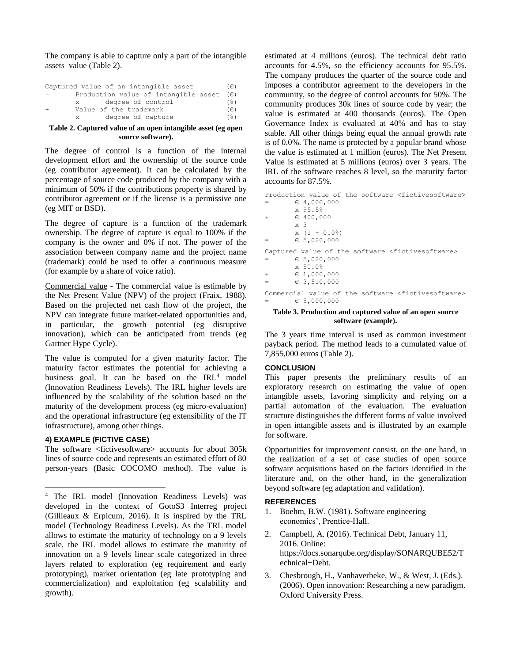The company is able to capture only a part of the intangible assets value (Table 2).

| Captured value of an intangible asset | (E)                   |
|---------------------------------------|-----------------------|
| Production value of intangible asset  | (€)                   |
| degree of control<br>$\mathbf{x}$ .   | (응)                   |
| Value of the trademark                | $(\in)$               |
| degree of capture<br>X                | $($ $\frac{6}{6}$ $)$ |

#### **Table 2. Captured value of an open intangible asset (eg open source software).**

The degree of control is a function of the internal development effort and the ownership of the source code (eg contributor agreement). It can be calculated by the percentage of source code produced by the company with a minimum of 50% if the contributions property is shared by contributor agreement or if the license is a permissive one (eg MIT or BSD).

The degree of capture is a function of the trademark ownership. The degree of capture is equal to 100% if the company is the owner and 0% if not. The power of the association between company name and the project name (trademark) could be used to offer a continuous measure (for example by a share of voice ratio).

Commercial value - The commercial value is estimable by the Net Present Value (NPV) of the project (Fraix, 1988). Based on the projected net cash flow of the project, the NPV can integrate future market-related opportunities and, in particular, the growth potential (eg disruptive innovation), which can be anticipated from trends (eg Gartner Hype Cycle).

The value is computed for a given maturity factor. The maturity factor estimates the potential for achieving a business goal. It can be based on the IRL<sup>4</sup> model (Innovation Readiness Levels). The IRL higher levels are influenced by the scalability of the solution based on the maturity of the development process (eg micro-evaluation) and the operational infrastructure (eg extensibility of the IT infrastructure), among other things.

# **4) EXAMPLE (FICTIVE CASE)**

 $\overline{a}$ 

The software <fictivesoftware> accounts for about 305k lines of source code and represents an estimated effort of 80 person-years (Basic COCOMO method). The value is estimated at 4 millions (euros). The technical debt ratio accounts for 4.5%, so the efficiency accounts for 95.5%. The company produces the quarter of the source code and imposes a contributor agreement to the developers in the community, so the degree of control accounts for 50%. The community produces 30k lines of source code by year; the value is estimated at 400 thousands (euros). The Open Governance Index is evaluated at 40% and has to stay stable. All other things being equal the annual growth rate is of 0.0%. The name is protected by a popular brand whose the value is estimated at 1 million (euros). The Net Present Value is estimated at 5 millions (euros) over 3 years. The IRL of the software reaches 8 level, so the maturity factor accounts for 87.5%.

| Production value of the software <fictivesoftware></fictivesoftware> |                      |  |  |  |  |
|----------------------------------------------------------------------|----------------------|--|--|--|--|
| $=$                                                                  | $\in$ 4,000,000      |  |  |  |  |
|                                                                      | x 95.5%              |  |  |  |  |
| $+$                                                                  | ∈ 400,000            |  |  |  |  |
|                                                                      | $\times$ 3           |  |  |  |  |
|                                                                      | $x(1 + 0.0)$         |  |  |  |  |
| $=$                                                                  | $\epsilon$ 5,020,000 |  |  |  |  |
| Captured value of the software <fictivesoftware></fictivesoftware>   |                      |  |  |  |  |
| $=$                                                                  | $\epsilon$ 5,020,000 |  |  |  |  |
|                                                                      | $\times 50.0$ $*$    |  |  |  |  |
| $+$                                                                  | $\in$ 1,000,000      |  |  |  |  |
| $=$                                                                  | $\in$ 3,510,000      |  |  |  |  |
| Commercial value of the software <fictivesoftware></fictivesoftware> |                      |  |  |  |  |
| $=$                                                                  | $\epsilon$ 5,000,000 |  |  |  |  |
|                                                                      |                      |  |  |  |  |

#### **Table 3. Production and captured value of an open source software (example).**

The 3 years time interval is used as common investment payback period. The method leads to a cumulated value of 7,855,000 euros (Table 2).

## **CONCLUSION**

This paper presents the preliminary results of an exploratory research on estimating the value of open intangible assets, favoring simplicity and relying on a partial automation of the evaluation. The evaluation structure distinguishes the different forms of value involved in open intangible assets and is illustrated by an example for software.

Opportunities for improvement consist, on the one hand, in the realization of a set of case studies of open source software acquisitions based on the factors identified in the literature and, on the other hand, in the generalization beyond software (eg adaptation and validation).

## **REFERENCES**

- 1. Boehm, B.W. (1981). Software engineering economics', Prentice-Hall.
- 2. Campbell, A. (2016). Technical Debt, January 11, 2016. Online: https://docs.sonarqube.org/display/SONARQUBE52/T echnical+Debt.
- 3. Chesbrough, H., Vanhaverbeke, W., & West, J. (Eds.). (2006). Open innovation: Researching a new paradigm. Oxford University Press.

<sup>4</sup> The IRL model (Innovation Readiness Levels) was developed in the context of GotoS3 Interreg project (Gillieaux & Erpicum, 2016). It is inspired by the TRL model (Technology Readiness Levels). As the TRL model allows to estimate the maturity of technology on a 9 levels scale, the IRL model allows to estimate the maturity of innovation on a 9 levels linear scale categorized in three layers related to exploration (eg requirement and early prototyping), market orientation (eg late prototyping and commercialization) and exploitation (eg scalability and growth).